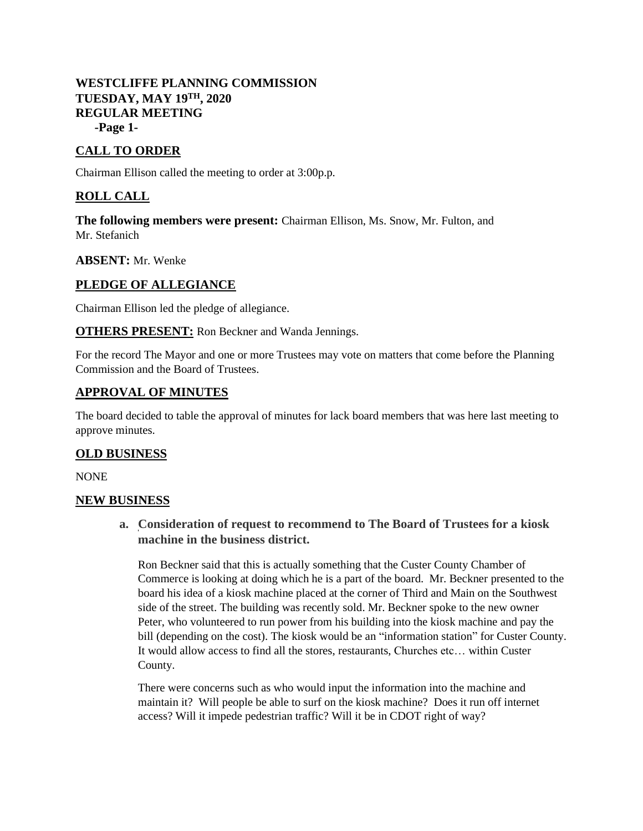# **WESTCLIFFE PLANNING COMMISSION**  $TLUESDAY, MAY 19<sup>TH</sup>, 2020$ **REGULAR MEETING**

**-Page 1-**

# **CALL TO ORDER**

Chairman Ellison called the meeting to order at 3:00p.p.

# **ROLL CALL**

**The following members were present:** Chairman Ellison, Ms. Snow, Mr. Fulton, and Mr. Stefanich

**ABSENT:** Mr. Wenke

## **PLEDGE OF ALLEGIANCE**

Chairman Ellison led the pledge of allegiance.

**OTHERS PRESENT:** Ron Beckner and Wanda Jennings.

For the record The Mayor and one or more Trustees may vote on matters that come before the Planning Commission and the Board of Trustees.

## **APPROVAL OF MINUTES**

The board decided to table the approval of minutes for lack board members that was here last meeting to approve minutes.

#### **OLD BUSINESS**

NONE

#### **NEW BUSINESS**

**a. Consideration of request to recommend to The Board of Trustees for a kiosk machine in the business district.**

Ron Beckner said that this is actually something that the Custer County Chamber of Commerce is looking at doing which he is a part of the board. Mr. Beckner presented to the board his idea of a kiosk machine placed at the corner of Third and Main on the Southwest side of the street. The building was recently sold. Mr. Beckner spoke to the new owner Peter, who volunteered to run power from his building into the kiosk machine and pay the bill (depending on the cost). The kiosk would be an "information station" for Custer County. It would allow access to find all the stores, restaurants, Churches etc… within Custer County.

There were concerns such as who would input the information into the machine and maintain it? Will people be able to surf on the kiosk machine? Does it run off internet access? Will it impede pedestrian traffic? Will it be in CDOT right of way?